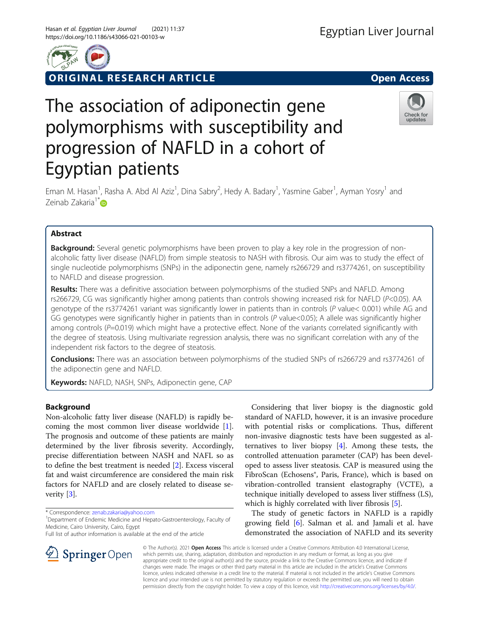

ORIGINAL RESEARCH ARTICLE **External of the Second Access** 

# The association of adiponectin gene polymorphisms with susceptibility and progression of NAFLD in a cohort of Egyptian patients



Eman M. Hasan<sup>1</sup>, Rasha A. Abd Al Aziz<sup>1</sup>, Dina Sabry<sup>2</sup>, Hedy A. Badary<sup>1</sup>, Yasmine Gaber<sup>1</sup>, Ayman Yosry<sup>1</sup> and Zeinab Zakaria<sup>1[\\*](http://orcid.org/0000-0001-8054-8655)</sup>D

# Abstract

**Background:** Several genetic polymorphisms have been proven to play a key role in the progression of nonalcoholic fatty liver disease (NAFLD) from simple steatosis to NASH with fibrosis. Our aim was to study the effect of single nucleotide polymorphisms (SNPs) in the adiponectin gene, namely rs266729 and rs3774261, on susceptibility to NAFLD and disease progression.

Results: There was a definitive association between polymorphisms of the studied SNPs and NAFLD. Among rs266729, CG was significantly higher among patients than controls showing increased risk for NAFLD (P<0.05). AA genotype of the rs3774261 variant was significantly lower in patients than in controls (P value< 0.001) while AG and GG genotypes were significantly higher in patients than in controls  $(P \text{ value} < 0.05)$ ; A allele was significantly higher among controls (P=0.019) which might have a protective effect. None of the variants correlated significantly with the degree of steatosis. Using multivariate regression analysis, there was no significant correlation with any of the independent risk factors to the degree of steatosis.

Conclusions: There was an association between polymorphisms of the studied SNPs of rs266729 and rs3774261 of the adiponectin gene and NAFLD.

Keywords: NAFLD, NASH, SNPs, Adiponectin gene, CAP

## Background

Non-alcoholic fatty liver disease (NAFLD) is rapidly becoming the most common liver disease worldwide [\[1](#page-9-0)]. The prognosis and outcome of these patients are mainly determined by the liver fibrosis severity. Accordingly, precise differentiation between NASH and NAFL so as to define the best treatment is needed [[2\]](#page-9-0). Excess visceral fat and waist circumference are considered the main risk factors for NAFLD and are closely related to disease severity [\[3](#page-9-0)].

\* Correspondence: [zenab.zakaria@yahoo.com](mailto:zenab.zakaria@yahoo.com) <sup>1</sup>

SpringerOpen

Full list of author information is available at the end of the article



The study of genetic factors in NAFLD is a rapidly growing field [\[6\]](#page-9-0). Salman et al. and Jamali et al. have demonstrated the association of NAFLD and its severity

© The Author(s). 2021 Open Access This article is licensed under a Creative Commons Attribution 4.0 International License, which permits use, sharing, adaptation, distribution and reproduction in any medium or format, as long as you give appropriate credit to the original author(s) and the source, provide a link to the Creative Commons licence, and indicate if changes were made. The images or other third party material in this article are included in the article's Creative Commons licence, unless indicated otherwise in a credit line to the material. If material is not included in the article's Creative Commons licence and your intended use is not permitted by statutory regulation or exceeds the permitted use, you will need to obtain permission directly from the copyright holder. To view a copy of this licence, visit <http://creativecommons.org/licenses/by/4.0/>.

<sup>&</sup>lt;sup>1</sup> Department of Endemic Medicine and Hepato-Gastroenterology, Faculty of Medicine, Cairo University, Cairo, Egypt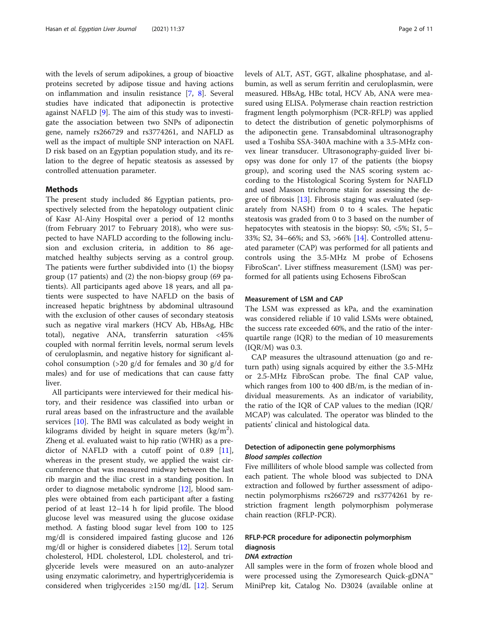with the levels of serum adipokines, a group of bioactive proteins secreted by adipose tissue and having actions on inflammation and insulin resistance [[7,](#page-9-0) [8](#page-9-0)]. Several studies have indicated that adiponectin is protective against NAFLD [[9\]](#page-9-0). The aim of this study was to investigate the association between two SNPs of adiponectin gene, namely rs266729 and rs3774261, and NAFLD as well as the impact of multiple SNP interaction on NAFL D risk based on an Egyptian population study, and its relation to the degree of hepatic steatosis as assessed by controlled attenuation parameter.

### Methods

The present study included 86 Egyptian patients, prospectively selected from the hepatology outpatient clinic of Kasr Al-Ainy Hospital over a period of 12 months (from February 2017 to February 2018), who were suspected to have NAFLD according to the following inclusion and exclusion criteria, in addition to 86 agematched healthy subjects serving as a control group. The patients were further subdivided into (1) the biopsy group (17 patients) and (2) the non-biopsy group (69 patients). All participants aged above 18 years, and all patients were suspected to have NAFLD on the basis of increased hepatic brightness by abdominal ultrasound with the exclusion of other causes of secondary steatosis such as negative viral markers (HCV Ab, HBsAg, HBc total), negative ANA, transferrin saturation <45% coupled with normal ferritin levels, normal serum levels of ceruloplasmin, and negative history for significant alcohol consumption  $(>20 \text{ g/d}$  for females and 30 g/d for males) and for use of medications that can cause fatty liver.

All participants were interviewed for their medical history, and their residence was classified into urban or rural areas based on the infrastructure and the available services [[10\]](#page-9-0). The BMI was calculated as body weight in kilograms divided by height in square meters (kg/m<sup>2</sup>). Zheng et al. evaluated waist to hip ratio (WHR) as a predictor of NAFLD with a cutoff point of 0.89 [\[11](#page-9-0)], whereas in the present study, we applied the waist circumference that was measured midway between the last rib margin and the iliac crest in a standing position. In order to diagnose metabolic syndrome [[12\]](#page-9-0), blood samples were obtained from each participant after a fasting period of at least 12–14 h for lipid profile. The blood glucose level was measured using the glucose oxidase method. A fasting blood sugar level from 100 to 125 mg/dl is considered impaired fasting glucose and 126 mg/dl or higher is considered diabetes [\[12](#page-9-0)]. Serum total cholesterol, HDL cholesterol, LDL cholesterol, and triglyceride levels were measured on an auto-analyzer using enzymatic calorimetry, and hypertriglyceridemia is considered when triglycerides  $\geq 150$  mg/dL [[12](#page-9-0)]. Serum levels of ALT, AST, GGT, alkaline phosphatase, and albumin, as well as serum ferritin and ceruloplasmin, were measured. HBsAg, HBc total, HCV Ab, ANA were measured using ELISA. Polymerase chain reaction restriction fragment length polymorphism (PCR-RFLP) was applied to detect the distribution of genetic polymorphisms of the adiponectin gene. Transabdominal ultrasonography used a Toshiba SSA-340A machine with a 3.5-MHz convex linear transducer. Ultrasonography-guided liver biopsy was done for only 17 of the patients (the biopsy group), and scoring used the NAS scoring system according to the Histological Scoring System for NAFLD and used Masson trichrome stain for assessing the degree of fibrosis [[13](#page-9-0)]. Fibrosis staging was evaluated (separately from NASH) from 0 to 4 scales. The hepatic steatosis was graded from 0 to 3 based on the number of hepatocytes with steatosis in the biopsy: S0, <5%; S1, 5– 33%; S2, 34–66%; and S3, >66% [\[14](#page-9-0)]. Controlled attenuated parameter (CAP) was performed for all patients and controls using the 3.5-MHz M probe of Echosens FibroScan®. Liver stiffness measurement (LSM) was performed for all patients using Echosens FibroScan

## Measurement of LSM and CAP

The LSM was expressed as kPa, and the examination was considered reliable if 10 valid LSMs were obtained, the success rate exceeded 60%, and the ratio of the interquartile range (IQR) to the median of 10 measurements  $(IQR/M)$  was 0.3.

CAP measures the ultrasound attenuation (go and return path) using signals acquired by either the 3.5-MHz or 2.5-MHz FibroScan probe. The final CAP value, which ranges from 100 to 400 dB/m, is the median of individual measurements. As an indicator of variability, the ratio of the IQR of CAP values to the median (IQR/ MCAP) was calculated. The operator was blinded to the patients' clinical and histological data.

## Detection of adiponectin gene polymorphisms Blood samples collection

Five milliliters of whole blood sample was collected from each patient. The whole blood was subjected to DNA extraction and followed by further assessment of adiponectin polymorphisms rs266729 and rs3774261 by restriction fragment length polymorphism polymerase chain reaction (RFLP-PCR).

# RFLP-PCR procedure for adiponectin polymorphism diagnosis

## DNA extraction

All samples were in the form of frozen whole blood and were processed using the Zymoresearch Quick-gDNA™ MiniPrep kit, Catalog No. D3024 (available online at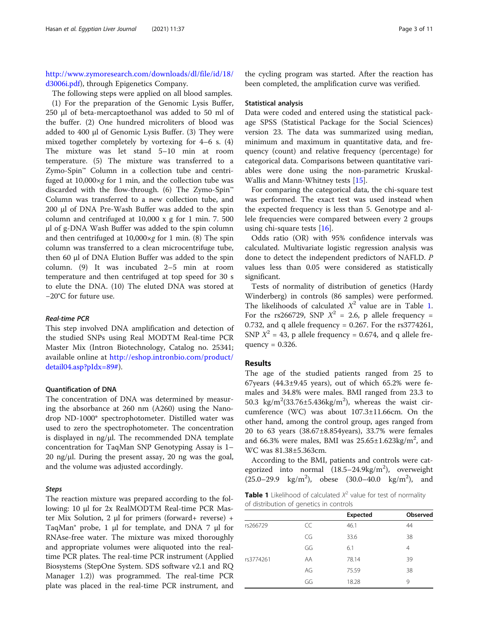[http://www.zymoresearch.com/downloads/dl/file/id/18/](http://www.zymoresearch.com/downloads/dl/file/id/18/d3006i.pdf) [d3006i.pdf\)](http://www.zymoresearch.com/downloads/dl/file/id/18/d3006i.pdf), through Epigenetics Company.

The following steps were applied on all blood samples.

(1) For the preparation of the Genomic Lysis Buffer, 250 μl of beta-mercaptoethanol was added to 50 ml of the buffer. (2) One hundred microliters of blood was added to 400 μl of Genomic Lysis Buffer. (3) They were mixed together completely by vortexing for 4–6 s. (4) The mixture was let stand 5–10 min at room temperature. (5) The mixture was transferred to a Zymo-Spin™ Column in a collection tube and centrifuged at  $10,000 \times g$  for 1 min, and the collection tube was discarded with the flow-through. (6) The Zymo-Spin™ Column was transferred to a new collection tube, and 200 μl of DNA Pre-Wash Buffer was added to the spin column and centrifuged at 10,000 x g for 1 min. 7. 500 μl of g-DNA Wash Buffer was added to the spin column and then centrifuged at  $10,000 \times g$  for 1 min. (8) The spin column was transferred to a clean microcentrifuge tube, then 60 μl of DNA Elution Buffer was added to the spin column. (9) It was incubated 2–5 min at room temperature and then centrifuged at top speed for 30 s to elute the DNA. (10) The eluted DNA was stored at −20°C for future use.

## Real-time PCR

This step involved DNA amplification and detection of the studied SNPs using Real MODTM Real-time PCR Master Mix (Intron Biotechnology, Catalog no. 25341; available online at [http://eshop.intronbio.com/product/](http://eshop.intronbio.com/product/detail04.asp?pIdx=89) [detail04.asp?pIdx=89#](http://eshop.intronbio.com/product/detail04.asp?pIdx=89)).

#### Quantification of DNA

The concentration of DNA was determined by measuring the absorbance at 260 nm (A260) using the Nanodrop ND-1000\* spectrophotometer. Distilled water was used to zero the spectrophotometer. The concentration is displayed in ng/μl. The recommended DNA template concentration for TaqMan SNP Genotyping Assay is 1– 20 ng/μl. During the present assay, 20 ng was the goal, and the volume was adjusted accordingly.

### **Steps**

The reaction mixture was prepared according to the following: 10 μl for 2x RealMODTM Real-time PCR Master Mix Solution, 2 μl for primers (forward+ reverse) + TaqMan® probe, 1 μl for template, and DNA 7 μl for RNAse-free water. The mixture was mixed thoroughly and appropriate volumes were aliquoted into the realtime PCR plates. The real-time PCR instrument (Applied Biosystems (StepOne System. SDS software v2.1 and RQ Manager 1.2)) was programmed. The real-time PCR plate was placed in the real-time PCR instrument, and

the cycling program was started. After the reaction has been completed, the amplification curve was verified.

#### Statistical analysis

Data were coded and entered using the statistical package SPSS (Statistical Package for the Social Sciences) version 23. The data was summarized using median, minimum and maximum in quantitative data, and frequency (count) and relative frequency (percentage) for categorical data. Comparisons between quantitative variables were done using the non-parametric Kruskal-Wallis and Mann-Whitney tests [[15\]](#page-9-0).

For comparing the categorical data, the chi-square test was performed. The exact test was used instead when the expected frequency is less than 5. Genotype and allele frequencies were compared between every 2 groups using chi-square tests  $[16]$  $[16]$ .

Odds ratio (OR) with 95% confidence intervals was calculated. Multivariate logistic regression analysis was done to detect the independent predictors of NAFLD. P values less than 0.05 were considered as statistically significant.

Tests of normality of distribution of genetics (Hardy Winderberg) in controls (86 samples) were performed. The likelihoods of calculated  $X^2$  value are in Table 1. For the rs266729, SNP  $X^2 = 2.6$ , p allele frequency = 0.732, and q allele frequency = 0.267. For the  $rs3774261$ , SNP  $X^2 = 43$ , p allele frequency = 0.674, and q allele frequency  $= 0.326$ .

## Results

The age of the studied patients ranged from 25 to 67 years  $(44.3\pm9.45$  years), out of which 65.2% were females and 34.8% were males. BMI ranged from 23.3 to 50.3  $\text{kg/m}^2(33.76 \pm 5.436 \text{kg/m}^2)$ , whereas the waist circumference (WC) was about 107.3±11.66cm. On the other hand, among the control group, ages ranged from 20 to 63 years (38.67±8.854years), 33.7% were females and 66.3% were males, BMI was  $25.65 \pm 1.623 \text{kg/m}^2$ , and WC was 81.38±5.363cm.

According to the BMI, patients and controls were categorized into normal  $(18.5-24.9\text{kg/m}^2)$ , overweight  $(25.0-29.9 \text{ kg/m}^2)$ , obese  $(30.0-40.0 \text{ kg/m}^2)$ , and

**Table 1** Likelihood of calculated  $X^2$  value for test of normality of distribution of genetics in controls

|           |    | <b>Expected</b> | <b>Observed</b> |
|-----------|----|-----------------|-----------------|
| rs266729  | CC | 46.1            | 44              |
|           | CG | 33.6            | 38              |
|           | GG | 6.1             | 4               |
| rs3774261 | AA | 78.14           | 39              |
|           | AG | 75.59           | 38              |
|           | GG | 18.28           | 9               |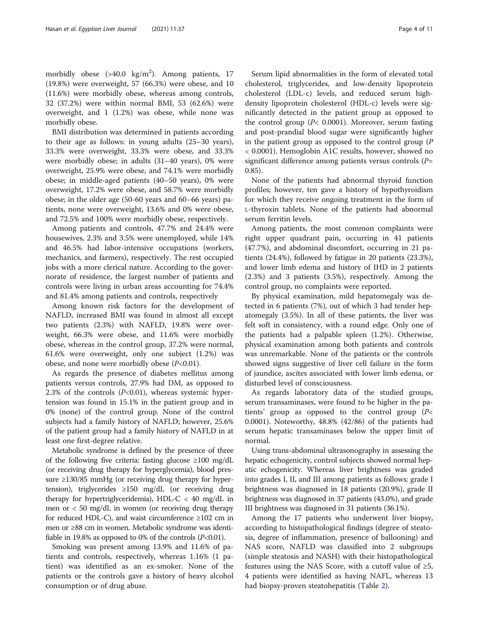morbidly obese (>40.0 kg/m<sup>2</sup>). Among patients, 17 (19.8%) were overweight, 57 (66.3%) were obese, and 10 (11.6%) were morbidly obese, whereas among controls, 32 (37.2%) were within normal BMI, 53 (62.6%) were overweight, and 1 (1.2%) was obese, while none was morbidly obese.

BMI distribution was determined in patients according to their age as follows: in young adults (25–30 years), 33.3% were overweight, 33.3% were obese, and 33.3% were morbidly obese; in adults (31–40 years), 0% were overweight, 25.9% were obese, and 74.1% were morbidly obese; in middle-aged patients (40–50 years), 0% were overweight, 17.2% were obese, and 58.7% were morbidly obese; in the older age (50-60 years and 60–66 years) patients, none were overweight, 13.6% and 0% were obese, and 72.5% and 100% were morbidly obese, respectively.

Among patients and controls, 47.7% and 24.4% were housewives, 2.3% and 3.5% were unemployed, while 14% and 46.5% had labor-intensive occupations (workers, mechanics, and farmers), respectively. The rest occupied jobs with a more clerical nature. According to the governorate of residence, the largest number of patients and controls were living in urban areas accounting for 74.4% and 81.4% among patients and controls, respectively

Among known risk factors for the development of NAFLD, increased BMI was found in almost all except two patients (2.3%) with NAFLD, 19.8% were overweight, 66.3% were obese, and 11.6% were morbidly obese, whereas in the control group, 37.2% were normal, 61.6% were overweight, only one subject (1.2%) was obese, and none were morbidly obese  $(P<0.01)$ .

As regards the presence of diabetes mellitus among patients versus controls, 27.9% had DM, as opposed to 2.3% of the controls  $(P<0.01)$ , whereas systemic hypertension was found in 15.1% in the patient group and in 0% (none) of the control group. None of the control subjects had a family history of NAFLD; however, 25.6% of the patient group had a family history of NAFLD in at least one first-degree relative.

Metabolic syndrome is defined by the presence of three of the following five criteria: fasting glucose ≥100 mg/dL (or receiving drug therapy for hyperglycemia), blood pressure ≥130/85 mmHg (or receiving drug therapy for hypertension), triglycerides  $\geq 150$  mg/dL (or receiving drug therapy for hypertriglyceridemia), HDL-C < 40 mg/dL in men or < 50 mg/dL in women (or receiving drug therapy for reduced HDL-C), and waist circumference ≥102 cm in men or ≥88 cm in women. Metabolic syndrome was identifiable in 19.8% as opposed to 0% of the controls  $(P<0.01)$ .

Smoking was present among 13.9% and 11.6% of patients and controls, respectively, whereas 1.16% (1 patient) was identified as an ex-smoker. None of the patients or the controls gave a history of heavy alcohol consumption or of drug abuse.

Serum lipid abnormalities in the form of elevated total cholesterol, triglycerides, and low-density lipoprotein cholesterol (LDL-c) levels, and reduced serum highdensity lipoprotein cholesterol (HDL-c) levels were significantly detected in the patient group as opposed to the control group ( $P$ < 0.0001). Moreover, serum fasting and post-prandial blood sugar were significantly higher in the patient group as opposed to the control group (P < 0.0001). Hemoglobin A1C results, however, showed no significant difference among patients versus controls  $(P=$ 0.85).

None of the patients had abnormal thyroid function profiles; however, ten gave a history of hypothyroidism for which they receive ongoing treatment in the form of L-thyroxin tablets. None of the patients had abnormal serum ferritin levels.

Among patients, the most common complaints were right upper quadrant pain, occurring in 41 patients (47.7%), and abdominal discomfort, occurring in 21 patients (24.4%), followed by fatigue in 20 patients (23.3%), and lower limb edema and history of IHD in 2 patients (2.3%) and 3 patients (3.5%), respectively. Among the control group, no complaints were reported.

By physical examination, mild hepatomegaly was detected in 6 patients (7%), out of which 3 had tender hepatomegaly (3.5%). In all of these patients, the liver was felt soft in consistency, with a round edge. Only one of the patients had a palpable spleen (1.2%). Otherwise, physical examination among both patients and controls was unremarkable. None of the patients or the controls showed signs suggestive of liver cell failure in the form of jaundice, ascites associated with lower limb edema, or disturbed level of consciousness.

As regards laboratory data of the studied groups, serum transaminases, were found to be higher in the patients' group as opposed to the control group (P<sup>&</sup>lt; 0.0001). Noteworthy, 48.8% (42/86) of the patients had serum hepatic transaminases below the upper limit of normal.

Using trans-abdominal ultrasonography in assessing the hepatic echogenicity, control subjects showed normal hepatic echogenicity. Whereas liver brightness was graded into grades I, II, and III among patients as follows: grade I brightness was diagnosed in 18 patients (20.9%), grade II brightness was diagnosed in 37 patients (43.0%), and grade III brightness was diagnosed in 31 patients (36.1%).

Among the 17 patients who underwent liver biopsy, according to histopathological findings (degree of steatosis, degree of inflammation, presence of ballooning) and NAS score, NAFLD was classified into 2 subgroups (simple steatosis and NASH) with their histopathological features using the NAS Score, with a cutoff value of  $\geq 5$ , 4 patients were identified as having NAFL, whereas 13 had biopsy-proven steatohepatitis (Table [2](#page-5-0)).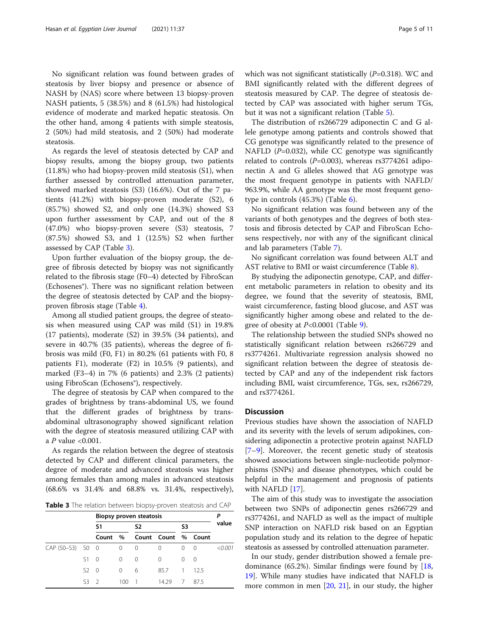No significant relation was found between grades of steatosis by liver biopsy and presence or absence of NASH by (NAS) score where between 13 biopsy-proven NASH patients, 5 (38.5%) and 8 (61.5%) had histological evidence of moderate and marked hepatic steatosis. On the other hand, among 4 patients with simple steatosis, 2 (50%) had mild steatosis, and 2 (50%) had moderate steatosis.

As regards the level of steatosis detected by CAP and biopsy results, among the biopsy group, two patients (11.8%) who had biopsy-proven mild steatosis (S1), when further assessed by controlled attenuation parameter, showed marked steatosis (S3) (16.6%). Out of the 7 patients (41.2%) with biopsy-proven moderate (S2), 6 (85.7%) showed S2, and only one (14.3%) showed S3 upon further assessment by CAP, and out of the 8 (47.0%) who biopsy-proven severe (S3) steatosis, 7 (87.5%) showed S3, and 1 (12.5%) S2 when further assessed by CAP (Table 3).

Upon further evaluation of the biopsy group, the degree of fibrosis detected by biopsy was not significantly related to the fibrosis stage (F0–4) detected by FibroScan (Echosenes®). There was no significant relation between the degree of steatosis detected by CAP and the biopsyproven fibrosis stage (Table [4\)](#page-5-0).

Among all studied patient groups, the degree of steatosis when measured using CAP was mild (S1) in 19.8% (17 patients), moderate (S2) in 39.5% (34 patients), and severe in 40.7% (35 patients), whereas the degree of fibrosis was mild (F0, F1) in 80.2% (61 patients with F0, 8 patients F1), moderate (F2) in 10.5% (9 patients), and marked (F3–4) in 7% (6 patients) and 2.3% (2 patients) using FibroScan (Echosens®), respectively.

The degree of steatosis by CAP when compared to the grades of brightness by trans-abdominal US, we found that the different grades of brightness by transabdominal ultrasonography showed significant relation with the degree of steatosis measured utilizing CAP with a  $P$  value <0.001.

As regards the relation between the degree of steatosis detected by CAP and different clinical parameters, the degree of moderate and advanced steatosis was higher among females than among males in advanced steatosis (68.6% vs 31.4% and 68.8% vs. 31.4%, respectively),

Table 3 The relation between biopsy-proven steatosis and CAP

|                  |              | Biopsy proven steatosis |      |                |                     |                |      |         |
|------------------|--------------|-------------------------|------|----------------|---------------------|----------------|------|---------|
|                  |              | S1                      |      | S <sub>2</sub> |                     | S3             |      | value   |
|                  |              | Count                   | $\%$ |                | Count Count % Count |                |      |         |
| CAP (SO-S3) SO 0 |              |                         | 0    | $\Omega$       | 0                   | 0              | - 0  | < 0.001 |
|                  | $S1 \quad 0$ |                         | 0    | $\Omega$       | 0                   | 0              | - 0  |         |
|                  | $52 \quad 0$ |                         | 0    | 6              | 85.7                | -1             | 12.5 |         |
|                  | S3           | - 2                     | 100  |                | 14.29               | $\overline{7}$ | 875  |         |

which was not significant statistically  $(P=0.318)$ . WC and BMI significantly related with the different degrees of steatosis measured by CAP. The degree of steatosis detected by CAP was associated with higher serum TGs, but it was not a significant relation (Table [5\)](#page-6-0).

The distribution of rs266729 adiponectin C and G allele genotype among patients and controls showed that CG genotype was significantly related to the presence of NAFLD  $(P=0.032)$ , while CC genotype was significantly related to controls  $(P=0.003)$ , whereas rs3774261 adiponectin A and G alleles showed that AG genotype was the most frequent genotype in patients with NAFLD/ 963.9%, while AA genotype was the most frequent genotype in controls  $(45.3%)$  (Table [6\)](#page-6-0).

No significant relation was found between any of the variants of both genotypes and the degrees of both steatosis and fibrosis detected by CAP and FibroScan Echosens respectively, nor with any of the significant clinical and lab parameters (Table [7\)](#page-7-0).

No significant correlation was found between ALT and AST relative to BMI or waist circumference (Table [8](#page-7-0)).

By studying the adiponectin genotype, CAP, and different metabolic parameters in relation to obesity and its degree, we found that the severity of steatosis, BMI, waist circumference, fasting blood glucose, and AST was significantly higher among obese and related to the degree of obesity at P<0.0001 (Table [9](#page-8-0)).

The relationship between the studied SNPs showed no statistically significant relation between rs266729 and rs3774261. Multivariate regression analysis showed no significant relation between the degree of steatosis detected by CAP and any of the independent risk factors including BMI, waist circumference, TGs, sex, rs266729, and rs3774261.

## **Discussion**

Previous studies have shown the association of NAFLD and its severity with the levels of serum adipokines, considering adiponectin a protective protein against NAFLD [[7](#page-9-0)–[9\]](#page-9-0). Moreover, the recent genetic study of steatosis showed associations between single-nucleotide polymorphisms (SNPs) and disease phenotypes, which could be helpful in the management and prognosis of patients with NAFLD [[17\]](#page-9-0).

The aim of this study was to investigate the association between two SNPs of adiponectin genes rs266729 and rs3774261, and NAFLD as well as the impact of multiple SNP interaction on NAFLD risk based on an Egyptian population study and its relation to the degree of hepatic steatosis as assessed by controlled attenuation parameter.

In our study, gender distribution showed a female predominance (65.2%). Similar findings were found by [[18](#page-9-0), [19\]](#page-9-0). While many studies have indicated that NAFLD is more common in men [[20](#page-9-0), [21\]](#page-9-0), in our study, the higher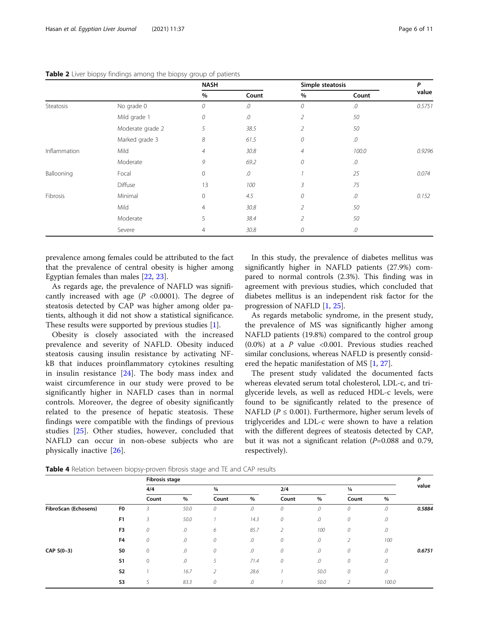|              |                  | <b>NASH</b>    |       | Simple steatosis |        | P      |
|--------------|------------------|----------------|-------|------------------|--------|--------|
|              |                  | %              | Count | $\%$             | Count  | value  |
| Steatosis    | No grade 0       | 0              | .0    | 0                | .0     | 0.5751 |
|              | Mild grade 1     | 0              | .0    | 2                | 50     |        |
|              | Moderate grade 2 | 5              | 38.5  | $\overline{2}$   | 50     |        |
|              | Marked grade 3   | 8              | 61.5  | 0                | .0     |        |
| Inflammation | Mild             | $\sqrt{4}$     | 30.8  | $\overline{4}$   | 100.0  | 0.9296 |
|              | Moderate         | 9              | 69.2  | 0                | .0     |        |
| Ballooning   | Focal            | $\mathbf 0$    | .0    |                  | 25     | 0.074  |
|              | Diffuse          | 13             | 100   | 3                | 75     |        |
| Fibrosis     | Minimal          | $\mathbf 0$    | 4.5   | 0                | .0     | 0.152  |
|              | Mild             | $\overline{4}$ | 30.8  | $\overline{2}$   | 50     |        |
|              | Moderate         | 5              | 38.4  | $\overline{2}$   | 50     |        |
|              | Severe           | $\overline{4}$ | 30.8  | 0                | $.0\,$ |        |

#### <span id="page-5-0"></span>Table 2 Liver biopsy findings among the biopsy group of patients

prevalence among females could be attributed to the fact that the prevalence of central obesity is higher among Egyptian females than males [\[22](#page-9-0), [23\]](#page-9-0).

As regards age, the prevalence of NAFLD was significantly increased with age  $(P \le 0.0001)$ . The degree of steatosis detected by CAP was higher among older patients, although it did not show a statistical significance. These results were supported by previous studies [\[1](#page-9-0)].

Obesity is closely associated with the increased prevalence and severity of NAFLD. Obesity induced steatosis causing insulin resistance by activating NFkB that induces proinflammatory cytokines resulting in insulin resistance [\[24](#page-9-0)]. The body mass index and waist circumference in our study were proved to be significantly higher in NAFLD cases than in normal controls. Moreover, the degree of obesity significantly related to the presence of hepatic steatosis. These findings were compatible with the findings of previous studies [[25](#page-9-0)]. Other studies, however, concluded that NAFLD can occur in non-obese subjects who are physically inactive [\[26](#page-9-0)].

In this study, the prevalence of diabetes mellitus was significantly higher in NAFLD patients (27.9%) compared to normal controls (2.3%). This finding was in agreement with previous studies, which concluded that diabetes mellitus is an independent risk factor for the progression of NAFLD [\[1](#page-9-0), [25](#page-9-0)].

As regards metabolic syndrome, in the present study, the prevalence of MS was significantly higher among NAFLD patients (19.8%) compared to the control group (0.0%) at a  $P$  value <0.001. Previous studies reached similar conclusions, whereas NAFLD is presently considered the hepatic manifestation of MS [\[1,](#page-9-0) [27\]](#page-9-0).

The present study validated the documented facts whereas elevated serum total cholesterol, LDL-c, and triglyceride levels, as well as reduced HDL-c levels, were found to be significantly related to the presence of NAFLD ( $P \le 0.001$ ). Furthermore, higher serum levels of triglycerides and LDL-c were shown to have a relation with the different degrees of steatosis detected by CAP, but it was not a significant relation  $(P=0.088$  and 0.79, respectively).

|                      |                |              | <b>Fibrosis stage</b> |                |        |                |            |                |               |        |
|----------------------|----------------|--------------|-----------------------|----------------|--------|----------------|------------|----------------|---------------|--------|
|                      |                | 4/4          |                       | $\frac{3}{4}$  |        |                | 2/4        |                | $\frac{1}{4}$ |        |
|                      |                | Count        | %                     | Count          | %      | Count          | %          | Count          | %             |        |
| FibroScan (Echosens) | F0             | 3            | 50.0                  | $\cal O$       | $.0\,$ | 0              | .0         | 0              | .0            | 0.5884 |
|                      | F <sub>1</sub> | 3            | 50.0                  |                | 14.3   | 0              | .0         | 0              | .0            |        |
|                      | F3             | 0            | .0                    | 6              | 85.7   | $\overline{2}$ | 100        | 0              | .0            |        |
|                      | F <sub>4</sub> | 0            | ${\cal O}$            | $\cal O$       | $.0\,$ | 0              | ${\cal O}$ | $\overline{2}$ | 100           |        |
| CAP $S(0-3)$         | S0             | $\mathbf{0}$ | .0                    | $\cal O$       | $.0\,$ | 0              | ${\cal O}$ | 0              | $.0\,$        | 0.6751 |
|                      | S <sub>1</sub> | $\mathbf{0}$ | ${\cal O}$            | 5              | 71.4   | 0              | .0         | 0              | .0            |        |
|                      | <b>S2</b>      |              | 16.7                  | $\overline{2}$ | 28.6   |                | 50.0       | 0              | .0            |        |
|                      | S3             | 5            | 83.3                  | $\cal O$       | $.0\,$ |                | 50.0       | $\overline{2}$ | 100.0         |        |

Table 4 Relation between biopsy-proven fibrosis stage and TE and CAP results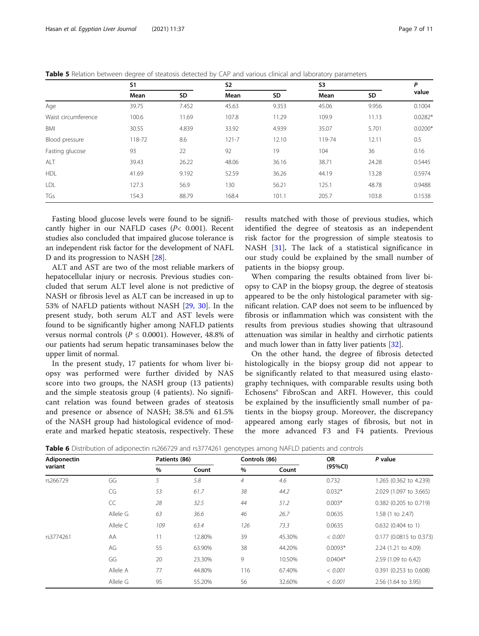|                     | <b>S1</b> |       | <b>S2</b> |       |        | S3    |           |
|---------------------|-----------|-------|-----------|-------|--------|-------|-----------|
|                     | Mean      | SD    | Mean      | SD    | Mean   | SD    | value     |
| Age                 | 39.75     | 7.452 | 45.63     | 9.353 | 45.06  | 9.956 | 0.1004    |
| Waist circumference | 100.6     | 11.69 | 107.8     | 11.29 | 109.9  | 11.13 | $0.0282*$ |
| BMI                 | 30.55     | 4.839 | 33.92     | 4.939 | 35.07  | 5.701 | $0.0200*$ |
| Blood pressure      | 118-72    | 8.6   | $121 - 7$ | 12.10 | 119-74 | 12.11 | 0.5       |
| Fasting glucose     | 93        | 22    | 92        | 19    | 104    | 36    | 0.16      |
| ALT                 | 39.43     | 26.22 | 48.06     | 36.16 | 38.71  | 24.28 | 0.5445    |
| <b>HDL</b>          | 41.69     | 9.192 | 52.59     | 36.26 | 44.19  | 13.28 | 0.5974    |
| LDL                 | 127.3     | 56.9  | 130       | 56.21 | 125.1  | 48.78 | 0.9488    |
| TGs                 | 154.3     | 88.79 | 168.4     | 101.1 | 205.7  | 103.8 | 0.1538    |

<span id="page-6-0"></span>Table 5 Relation between degree of steatosis detected by CAP and various clinical and laboratory parameters

Fasting blood glucose levels were found to be significantly higher in our NAFLD cases  $(P< 0.001)$ . Recent studies also concluded that impaired glucose tolerance is an independent risk factor for the development of NAFL D and its progression to NASH [[28\]](#page-9-0).

ALT and AST are two of the most reliable markers of hepatocellular injury or necrosis. Previous studies concluded that serum ALT level alone is not predictive of NASH or fibrosis level as ALT can be increased in up to 53% of NAFLD patients without NASH [\[29](#page-9-0), [30\]](#page-10-0). In the present study, both serum ALT and AST levels were found to be significantly higher among NAFLD patients versus normal controls ( $P \le 0.0001$ ). However, 48.8% of our patients had serum hepatic transaminases below the upper limit of normal.

In the present study, 17 patients for whom liver biopsy was performed were further divided by NAS score into two groups, the NASH group (13 patients) and the simple steatosis group (4 patients). No significant relation was found between grades of steatosis and presence or absence of NASH; 38.5% and 61.5% of the NASH group had histological evidence of moderate and marked hepatic steatosis, respectively. These results matched with those of previous studies, which identified the degree of steatosis as an independent risk factor for the progression of simple steatosis to NASH [[31](#page-10-0)]. The lack of a statistical significance in our study could be explained by the small number of patients in the biopsy group.

When comparing the results obtained from liver biopsy to CAP in the biopsy group, the degree of steatosis appeared to be the only histological parameter with significant relation. CAP does not seem to be influenced by fibrosis or inflammation which was consistent with the results from previous studies showing that ultrasound attenuation was similar in healthy and cirrhotic patients and much lower than in fatty liver patients [\[32](#page-10-0)].

On the other hand, the degree of fibrosis detected histologically in the biopsy group did not appear to be significantly related to that measured using elastography techniques, with comparable results using both Echosens® FibroScan and ARFI. However, this could be explained by the insufficiently small number of patients in the biopsy group. Moreover, the discrepancy appeared among early stages of fibrosis, but not in the more advanced F3 and F4 patients. Previous

Table 6 Distribution of adiponectin rs266729 and rs3774261 genotypes among NAFLD patients and controls

| Adiponectin |          | Patients (86) |        | Controls (86)  |        | <b>OR</b> | P value                 |
|-------------|----------|---------------|--------|----------------|--------|-----------|-------------------------|
| variant     |          | $\%$          | Count  | $\%$           | Count  | (95%CI)   |                         |
| rs266729    | GG       | 5             | 5.8    | $\overline{4}$ | 4.6    | 0.732     | 1.265 (0.362 to 4.239)  |
|             | CG       | 53            | 61.7   | 38             | 44.2   | $0.032*$  | 2.029 (1.097 to 3.665)  |
|             | CC       | 28            | 32.5   | 44             | 51.2   | $0.003*$  | 0.382 (0.205 to 0.719)  |
|             | Allele G | 63            | 36.6   | 46             | 26.7   | 0.0635    | 1.58 (1 to 2.47)        |
|             | Allele C | 109           | 63.4   | 126            | 73.3   | 0.0635    | $0.632$ (0.404 to 1)    |
| rs3774261   | AA       | 11            | 12.80% | 39             | 45.30% | < 0.001   | 0.177 (0.0815 to 0.373) |
|             | AG       | 55            | 63.90% | 38             | 44.20% | $0.0093*$ | 2.24 (1.21 to 4.09)     |
|             | GG       | 20            | 23.30% | 9              | 10.50% | $0.0404*$ | 2.59 (1.09 to 6.42)     |
|             | Allele A | 77            | 44.80% | 116            | 67.40% | < 0.001   | 0.391 (0.253 to 0.608)  |
|             | Allele G | 95            | 55.20% | 56             | 32.60% | < 0.001   | 2.56 (1.64 to 3.95)     |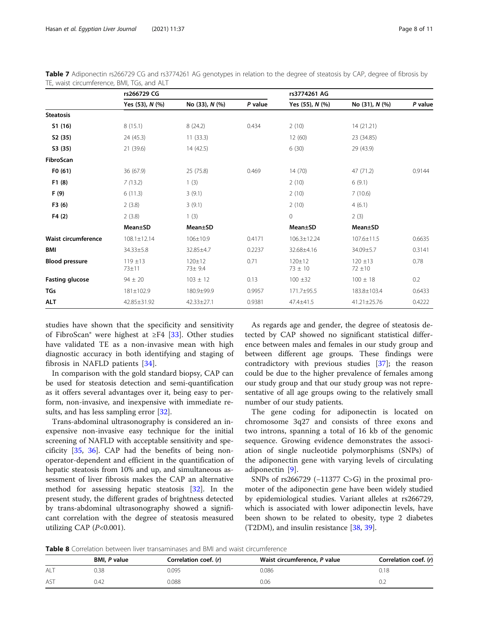|                            | rs266729 CG         |                          |         | rs3774261 AG            |                      |         |
|----------------------------|---------------------|--------------------------|---------|-------------------------|----------------------|---------|
|                            | Yes (53), N (%)     | No (33), N (%)           | P value | Yes (55), N (%)         | No (31), N (%)       | P value |
| <b>Steatosis</b>           |                     |                          |         |                         |                      |         |
| S1(16)                     | 8(15.1)             | 8(24.2)                  | 0.434   | 2(10)                   | 14 (21.21)           |         |
| S2(35)                     | 24 (45.3)           | 11(33.3)                 |         | 12(60)                  | 23 (34.85)           |         |
| S3 (35)                    | 21 (39.6)           | 14 (42.5)                |         | 6(30)                   | 29 (43.9)            |         |
| FibroScan                  |                     |                          |         |                         |                      |         |
| F0(61)                     | 36 (67.9)           | 25(75.8)                 | 0.469   | 14(70)                  | 47 (71.2)            | 0.9144  |
| F1(8)                      | 7(13.2)             | 1(3)                     |         | 2(10)                   | 6(9.1)               |         |
| F (9)                      | 6(11.3)             | 3(9.1)                   |         | 2(10)                   | 7(10.6)              |         |
| F3(6)                      | 2(3.8)              | 3(9.1)                   |         | 2(10)                   | 4(6.1)               |         |
| F4(2)                      | 2(3.8)              | 1(3)                     |         | $\overline{0}$          | 2(3)                 |         |
|                            | Mean±SD             | Mean±SD                  |         | Mean±SD                 | Mean±SD              |         |
| <b>Waist circumference</b> | $108.1 \pm 12.14$   | 106±10.9                 | 0.4171  | 106.3±12.24             | 107.6±11.5           | 0.6635  |
| <b>BMI</b>                 | 34.33±5.8           | 32.85±4.7                | 0.2237  | 32.68±4.16              | 34.09±5.7            | 0.3141  |
| <b>Blood pressure</b>      | $119 + 13$<br>73±11 | $120+12$<br>$73 \pm 9.4$ | 0.71    | $120+12$<br>$73 \pm 10$ | $120 + 13$<br>72 ±10 | 0.78    |
| <b>Fasting glucose</b>     | $94 \pm 20$         | $103 \pm 12$             | 0.13    | $100 \pm 32$            | $100 \pm 18$         | 0.2     |
| <b>TGs</b>                 | 181±102.9           | 180.9±99.9               | 0.9957  | 171.7±95.5              | 183.8±103.4          | 0.6433  |
| <b>ALT</b>                 | 42.85±31.92         | $42.33 \pm 27.1$         | 0.9381  | 47.4±41.5               | 41.21±25.76          | 0.4222  |

<span id="page-7-0"></span>Table 7 Adiponectin rs266729 CG and rs3774261 AG genotypes in relation to the degree of steatosis by CAP, degree of fibrosis by TE, waist circumference, BMI, TGs, and ALT

studies have shown that the specificity and sensitivity of FibroScan® were highest at ≥F4 [[33\]](#page-10-0). Other studies have validated TE as a non-invasive mean with high diagnostic accuracy in both identifying and staging of fibrosis in NAFLD patients [\[34](#page-10-0)].

In comparison with the gold standard biopsy, CAP can be used for steatosis detection and semi-quantification as it offers several advantages over it, being easy to perform, non-invasive, and inexpensive with immediate results, and has less sampling error [[32\]](#page-10-0).

Trans-abdominal ultrasonography is considered an inexpensive non-invasive easy technique for the initial screening of NAFLD with acceptable sensitivity and specificity [\[35,](#page-10-0) [36](#page-10-0)]. CAP had the benefits of being nonoperator-dependent and efficient in the quantification of hepatic steatosis from 10% and up, and simultaneous assessment of liver fibrosis makes the CAP an alternative method for assessing hepatic steatosis [\[32](#page-10-0)]. In the present study, the different grades of brightness detected by trans-abdominal ultrasonography showed a significant correlation with the degree of steatosis measured utilizing CAP  $(P<0.001)$ .

As regards age and gender, the degree of steatosis detected by CAP showed no significant statistical difference between males and females in our study group and between different age groups. These findings were contradictory with previous studies [\[37](#page-10-0)]; the reason could be due to the higher prevalence of females among our study group and that our study group was not representative of all age groups owing to the relatively small number of our study patients.

The gene coding for adiponectin is located on chromosome 3q27 and consists of three exons and two introns, spanning a total of 16 kb of the genomic sequence. Growing evidence demonstrates the association of single nucleotide polymorphisms (SNPs) of the adiponectin gene with varying levels of circulating adiponectin [[9\]](#page-9-0).

SNPs of rs266729 (−11377 C>G) in the proximal promoter of the adiponectin gene have been widely studied by epidemiological studies. Variant alleles at rs266729, which is associated with lower adiponectin levels, have been shown to be related to obesity, type 2 diabetes  $(T2DM)$ , and insulin resistance [\[38](#page-10-0), [39](#page-10-0)].

Table 8 Correlation between liver transaminases and BMI and waist circumference

|     | BMI, P value | Correlation coef. (r) | Waist circumference, P value | Correlation coef. (r) |
|-----|--------------|-----------------------|------------------------------|-----------------------|
| ALT | ).38         | 0.095                 | 0.086                        | J.18 .                |
| AST | 0.42         | 0.088                 | 0.06                         |                       |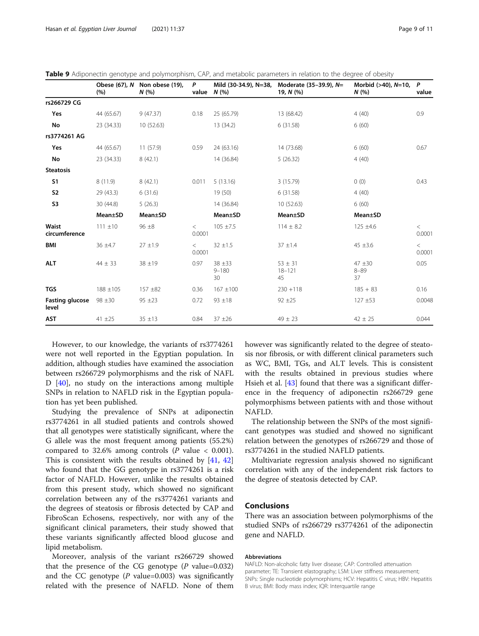<span id="page-8-0"></span>

|  | Table 9 Adiponectin genotype and polymorphism. CAP, and metabolic parameters in relation to the degree of obesity |  |
|--|-------------------------------------------------------------------------------------------------------------------|--|
|  |                                                                                                                   |  |

|                                 | (%)          | Obese (67), N Non obese (19),<br>N(% | P<br>value      | Mild (30-34.9), N=38,<br>N(% | Moderate (35-39.9), N=<br>19, N (%) | Morbid (>40), N=10,<br>N(%  | P<br>value      |
|---------------------------------|--------------|--------------------------------------|-----------------|------------------------------|-------------------------------------|-----------------------------|-----------------|
| rs266729 CG                     |              |                                      |                 |                              |                                     |                             |                 |
| Yes                             | 44 (65.67)   | 9(47.37)                             | 0.18            | 25 (65.79)                   | 13 (68.42)                          | 4(40)                       | 0.9             |
| No                              | 23 (34.33)   | 10 (52.63)                           |                 | 13 (34.2)                    | 6(31.58)                            | 6(60)                       |                 |
| rs3774261 AG                    |              |                                      |                 |                              |                                     |                             |                 |
| Yes                             | 44 (65.67)   | 11(57.9)                             | 0.59            | 24 (63.16)                   | 14 (73.68)                          | 6(60)                       | 0.67            |
| No                              | 23 (34.33)   | 8(42.1)                              |                 | 14 (36.84)                   | 5(26.32)                            | 4(40)                       |                 |
| <b>Steatosis</b>                |              |                                      |                 |                              |                                     |                             |                 |
| S <sub>1</sub>                  | 8(11.9)      | 8(42.1)                              | 0.011           | 5(13.16)                     | 3(15.79)                            | 0(0)                        | 0.43            |
| <b>S2</b>                       | 29 (43.3)    | 6(31.6)                              |                 | 19 (50)                      | 6(31.58)                            | 4(40)                       |                 |
| S <sub>3</sub>                  | 30 (44.8)    | 5(26.3)                              |                 | 14 (36.84)                   | 10 (52.63)                          | 6(60)                       |                 |
|                                 | Mean±SD      | Mean±SD                              |                 | Mean±SD                      | Mean±SD                             | Mean±SD                     |                 |
| <b>Waist</b><br>circumference   | $111 \pm 10$ | $96 \pm 8$                           | $\lt$<br>0.0001 | $105 \pm 7.5$                | $114 \pm 8.2$                       | $125 \pm 4.6$               | $\,<$<br>0.0001 |
| <b>BMI</b>                      | $36 \pm 4.7$ | $27 \pm 1.9$                         | $\lt$<br>0.0001 | $32 \pm 1.5$                 | $37 \pm 1.4$                        | $45 \pm 3.6$                | $\,<$<br>0.0001 |
| <b>ALT</b>                      | $44 \pm 33$  | 38 ±19                               | 0.97            | $38 + 33$<br>$9 - 180$<br>30 | $53 \pm 31$<br>$18 - 121$<br>45     | $47 + 30$<br>$8 - 89$<br>37 | 0.05            |
| <b>TGS</b>                      | $188 + 105$  | 157 ±82                              | 0.36            | $167 + 100$                  | $230 + 118$                         | $185 + 83$                  | 0.16            |
| <b>Fasting glucose</b><br>level | $98 + 30$    | $95 + 23$                            | 0.72            | $93 \pm 18$                  | $92 + 25$                           | $127 + 53$                  | 0.0048          |
| <b>AST</b>                      | $41 + 25$    | $35 \pm 13$                          | 0.84            | $37 + 26$                    | $49 \pm 23$                         | $42 \pm 25$                 | 0.044           |

However, to our knowledge, the variants of rs3774261 were not well reported in the Egyptian population. In addition, although studies have examined the association between rs266729 polymorphisms and the risk of NAFL D [\[40](#page-10-0)], no study on the interactions among multiple SNPs in relation to NAFLD risk in the Egyptian population has yet been published.

Studying the prevalence of SNPs at adiponectin rs3774261 in all studied patients and controls showed that all genotypes were statistically significant, where the G allele was the most frequent among patients (55.2%) compared to 32.6% among controls ( $P$  value < 0.001). This is consistent with the results obtained by [\[41](#page-10-0), [42](#page-10-0)] who found that the GG genotype in rs3774261 is a risk factor of NAFLD. However, unlike the results obtained from this present study, which showed no significant correlation between any of the rs3774261 variants and the degrees of steatosis or fibrosis detected by CAP and FibroScan Echosens, respectively, nor with any of the significant clinical parameters, their study showed that these variants significantly affected blood glucose and lipid metabolism.

Moreover, analysis of the variant rs266729 showed that the presence of the CG genotype  $(P \text{ value}=0.032)$ and the CC genotype  $(P \text{ value}=0.003)$  was significantly related with the presence of NAFLD. None of them however was significantly related to the degree of steatosis nor fibrosis, or with different clinical parameters such as WC, BMI, TGs, and ALT levels. This is consistent with the results obtained in previous studies where Hsieh et al. [\[43](#page-10-0)] found that there was a significant difference in the frequency of adiponectin rs266729 gene polymorphisms between patients with and those without NAFLD.

The relationship between the SNPs of the most significant genotypes was studied and showed no significant relation between the genotypes of rs266729 and those of rs3774261 in the studied NAFLD patients.

Multivariate regression analysis showed no significant correlation with any of the independent risk factors to the degree of steatosis detected by CAP.

## Conclusions

There was an association between polymorphisms of the studied SNPs of rs266729 rs3774261 of the adiponectin gene and NAFLD.

### Abbreviations

NAFLD: Non-alcoholic fatty liver disease; CAP: Controlled attenuation parameter; TE: Transient elastography; LSM: Liver stiffness measurement; SNPs: Single nucleotide polymorphisms; HCV: Hepatitis C virus; HBV: Hepatitis B virus; BMI: Body mass index; IQR: Interquartile range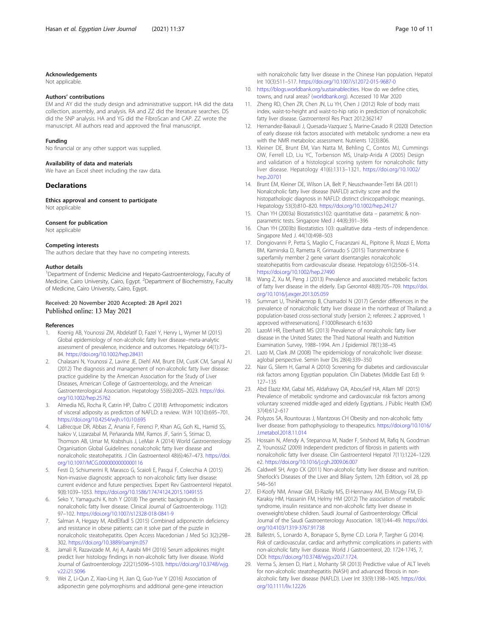#### <span id="page-9-0"></span>Acknowledgements

Not applicable.

#### Authors' contributions

EM and AY did the study design and administrative support. HA did the data collection, assembly, and analysis. RA and ZZ did the literature searches. DS did the SNP analysis. HA and YG did the FibroScan and CAP. ZZ wrote the manuscript. All authors read and approved the final manuscript.

#### Funding

No financial or any other support was supplied.

#### Availability of data and materials

We have an Excel sheet including the raw data.

#### Declarations

Ethics approval and consent to participate Not applicable

## Consent for publication

Not applicable

#### Competing interests

The authors declare that they have no competing interests.

#### Author details

<sup>1</sup>Department of Endemic Medicine and Hepato-Gastroenterology, Faculty of Medicine, Cairo University, Cairo, Egypt. <sup>2</sup>Department of Biochemistry, Faculty of Medicine, Cairo University, Cairo, Egypt.

## Received: 20 November 2020 Accepted: 28 April 2021 Published online: 13 May 2021

#### References

- 1. Koenig AB, Younossi ZM, Abdelatif D, Fazel Y, Henry L, Wymer M (2015) Global epidemiology of non-alcoholic fatty liver disease–meta-analytic assessment of prevalence, incidence and outcomes. Hepatology 64(1):73– 84. <https://doi.org/10.1002/hep.28431>
- 2. Chalasani N, Younossi Z, Lavine JE, Diehl AM, Brunt EM, CusiK CM, Sanyal AJ (2012) The diagnosis and management of non-alcoholic fatty liver disease: practice guideline by the American Association for the Study of Liver Diseases, American College of Gastroenterology, and the American Gastroenterological Association. Hepatology 55(6):2005–2023. [https://doi.](https://doi.org/10.1002/hep.25762) [org/10.1002/hep.25762](https://doi.org/10.1002/hep.25762)
- 3. Almedia NS, Rocha R, Catrin HP, Daltro C (2018) Arthropometric indicators of visceral adiposity as predictors of NAFLD: a review. WJH 10(10):695–701. <https://doi.org/10.4254/wjh.v10.i10.695>
- 4. LaBrecque DR, Abbas Z, Anania F, Ferenci P, Khan AG, Goh KL, Hamid SS, Isakov V, Lizarzabal M, Peñaranda MM, Ramos JF, Sarin S, Stimac D, Thomson AB, Umar M, Krabshuis J, LeMair A (2014) World Gastroenterology Organisation Global Guidelines: nonalcoholic fatty liver disease and nonalcoholic steatohepatitis. J Clin Gastroenterol 48(6):467–473. [https://doi.](https://doi.org/10.1097/MCG.0000000000000116) [org/10.1097/MCG.0000000000000116](https://doi.org/10.1097/MCG.0000000000000116)
- 5. Festi D, Schiumerini R, Marasco G, Scaioli E, Pasqui F, Colecchia A (2015) Non-invasive diagnostic approach to non-alcoholic fatty liver disease: current evidence and future perspectives. Expert Rev Gastroenterol Hepatol. 9(8):1039–1053. <https://doi.org/10.1586/17474124.2015.1049155>
- Seko Y, Yamaguchi K, Itoh Y (2018) The genetic backgrounds in nonalcoholic fatty liver disease. Clinical Journal of Gastroenterology. 11(2): 97–102. <https://doi.org/10.1007/s12328-018-0841-9>
- 7. Salman A, Hegazy M, AbdElfadl S (2015) Combined adiponectin deficiency and resistance in obese patients: can it solve part of the puzzle in nonalcoholic steatohepatitis. Open Access Macedonian J Med Sci 3(2):298– 302. <https://doi.org/10.3889/oamjm.057>
- 8. Jamali R, Razavizade M, Arj A, Aarabi MH (2016) Serum adipokines might predict liver histology findings in non-alcoholic fatty liver disease. World Journal of Gastroenterology 22(21):5096–5103. [https://doi.org/10.3748/wjg.](https://doi.org/10.3748/wjg.v22.i21.5096) [v22.i21.5096](https://doi.org/10.3748/wjg.v22.i21.5096)
- Wei Z, Li-Qun Z, Xiao-Ling H, Jian Q, Guo-Yue Y (2016) Association of adiponectin gene polymorphisms and additional gene-gene interaction

with nonalcoholic fatty liver disease in the Chinese Han population. Hepatol Int 10(3):511–517. <https://doi.org/10.1007/s12072-015-9687-0>

- 10. <https://blogs.worldbank.org/sustainablecities>. How do we define cities. towns, and rural areas? [\(worldbank.org](http://worldbank.org)). Accessed 10 Mar 2020
- 11. Zheng RD, Chen ZR, Chen JN, Lu YH, Chen J (2012) Role of body mass index, waist-to-height and waist-to-hip ratio in prediction of nonalcoholic fatty liver disease. Gastroenterol Res Pract 2012:362147
- 12. Hernandez-Baixauli J, Quesada-Vazquez S, Marine-Casado R (2020) Detection of early disease risk factors associated with metabolic syndrome: a new era with the NMR metaboloc assessment. Nutrients 12(3):806.
- 13. Kleiner DE, Brunt EM, Van Natta M, Behling C, Contos MJ, Cummings OW, Ferrell LD, Liu YC, Torbenson MS, Unalp-Arida A (2005) Design and validation of a histological scoring system for nonalcoholic fatty liver disease. Hepatology 41(6):1313–1321. [https://doi.org/10.1002/](https://doi.org/10.1002/hep.20701) [hep.20701](https://doi.org/10.1002/hep.20701)
- 14. Brunt EM, Kleiner DE, Wilson LA, Belt P, Neuschwander-Tetri BA (2011) Nonalcoholic fatty liver disease (NAFLD) activity score and the histopathologic diagnosis in NAFLD: distinct clinicopathologic meanings. Hepatology 53(3):810–820. <https://doi.org/10.1002/hep.24127>
- 15. Chan YH (2003a) Biostatistics102: quantitative data parametric & nonparametric tests. Singapore Med J 44(8):391–396
- 16. Chan YH (2003b) Biostatistics 103: qualitative data –tests of independence. Singapore Med J. 44(10):498–503
- 17. Dongiovanni P, Petta S, Maglio C, Fracanzani AL, Pipitone R, Mozzi E, Motta BM, Kaminska D, Rametta R, Grimaudo S (2015) Transmembrane 6 superfamily member 2 gene variant disentangles nonalcoholic steatohepatitis from cardiovascular disease. Hepatology 61(2):506–514. <https://doi.org/10.1002/hep.27490>
- 18. Wang Z, Xu M, Peng J (2013) Prevalence and associated metabolic factors of fatty liver disease in the elderly. Exp Gerontol 48(8):705–709. [https://doi.](https://doi.org/10.1016/j.exger.2013.05.059) [org/10.1016/j.exger.2013.05.059](https://doi.org/10.1016/j.exger.2013.05.059)
- 19. Summart U, Thinkhamrop B, Chamadol N (2017) Gender differences in the prevalence of nonalcoholic fatty liver disease in the northeast of Thailand: a population-based cross-sectional study [version 2; referees: 2 approved, 1 approved withreservations]. F1000Research 6:1630
- 20. LazoM HR, Eberhardt MS (2013) Prevalence of nonalcoholic fatty liver disease in the United States: the Third National Health and Nutrition Examination Survey, 1988–1994. Am J Epidemiol 78(1):38–45
- 21. Lazo M, Clark JM (2008) The epidemiology of nonalcoholic liver disease: aglobal perspective. Semin liver Dis 28(4):339–350
- 22. Nasr G, Sliem H, Gamal A (2010) Screening for diabetes and cardiovascular risk factors among Egyptian population. Clin Diabetes (Middle East Ed) 9: 127–135
- 23. Abd Elaziz KM, Gabal MS, Aldafrawy OA, AbouSeif HA, Allam MF (2015) Prevalence of metabolic syndrome and cardiovascular risk factors among voluntary screened middle-aged and elderly Egyptians. J Public Health (Oxf) 37(4):612–617
- 24. Polyzos SA, Rountouras J, Mantzoras CH Obesity and non-alcoholic fatty liver disease: from pathophysiology to therapeutics. [https://doi.org/10.1016/](https://doi.org/10.1016/J.metabol.2018.11.014) [J.metabol.2018.11.014](https://doi.org/10.1016/J.metabol.2018.11.014)
- 25. Hossain N, Afendy A, Stepanova M, Nader F, Srishord M, Rafiq N, Goodman Z, YounossiZ (2009) Independent predictors of fibrosis in patients with nonalcoholic fatty liver disease. Clin Gastroenterol Hepatol 7(11):1224–1229. e2. <https://doi.org/10.1016/j.cgh.2009.06.007>
- 26. Caldwell SH, Argo CK (2011) Non-alcoholic fatty liver disease and nutrition. Sherlock's Diseases of the Liver and Biliary System, 12th Edition, vol 28, pp 546–561
- 27. El-Koofy NM, Anwar GM, El-Raziky MS, El-Hennawy AM, El-Mougy FM, El-Karaksy HM, Hassanin FM, Helmy HM (2012) The association of metabolic syndrome, insulin resistance and non-alcoholic fatty liver disease in overweight/obese children. Saudi Journal of Gastroenterology: Official Journal of the Saudi Gastroenterology Association. 18(1):44–49. [https://doi.](https://doi.org/10.4103/1319-3767.91738) [org/10.4103/1319-3767.91738](https://doi.org/10.4103/1319-3767.91738)
- 28. Ballestri, S., Lonardo A., Bonapace S., Byrne C.D. Loria P, Targher G (2014). Risk of cardiovascular, cardiac and arrhythmic complications in patients with non-alcoholic fatty liver disease. World J Gastroenterol, 20: 1724-1745, 7, DOI: [https://doi.org/10.3748/wjg.v20.i7.1724.](https://doi.org/10.3748/wjg.v20.i7.1724)
- 29. Verma S, Jensen D, Hart J, Mohanty SR (2013) Predictive value of ALT levels for non-alcoholic steatohepatitis (NASH) and advanced fibrosis in nonalcoholic fatty liver disease (NAFLD). Liver Int 33(9):1398–1405. [https://doi.](https://doi.org/10.1111/liv.12226) [org/10.1111/liv.12226](https://doi.org/10.1111/liv.12226)